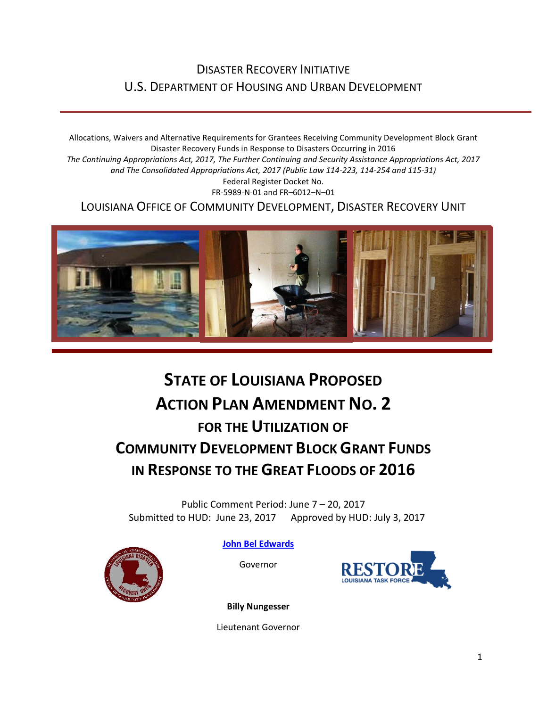# DISASTER RECOVERY INITIATIVE U.S. DEPARTMENT OF HOUSING AND URBAN DEVELOPMENT

Allocations, Waivers and Alternative Requirements for Grantees Receiving Community Development Block Grant Disaster Recovery Funds in Response to Disasters Occurring in 2016 *The Continuing Appropriations Act, 2017, The Further Continuing and Security Assistance Appropriations Act, 2017 and The Consolidated Appropriations Act, 2017 (Public Law 114-223, 114-254 and 115-31)* Federal Register Docket No. FR-5989-N-01 and FR–6012–N–01 LOUISIANA OFFICE OF COMMUNITY DEVELOPMENT, DISASTER RECOVERY UNIT



# **STATE OF LOUISIANA PROPOSED ACTION PLAN AMENDMENT NO. 2 FOR THE UTILIZATION OF COMMUNITY DEVELOPMENT BLOCK GRANT FUNDS IN RESPONSE TO THE GREAT FLOODS OF 2016**

Public Comment Period: June 7 – 20, 2017 Submitted to HUD: June 23, 2017 Approved by HUD: July 3, 2017



**[John Bel Edwards](https://www.facebook.com/LouisianaGov/)**

Governor



**Billy Nungesser**

Lieutenant Governor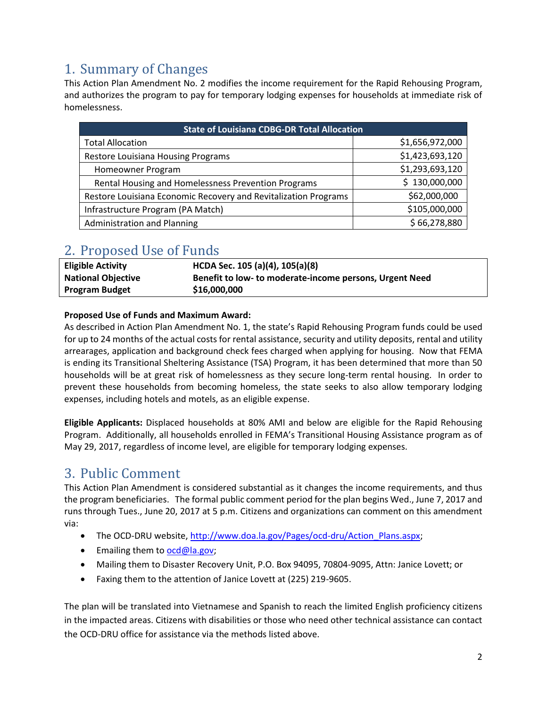# 1. Summary of Changes

This Action Plan Amendment No. 2 modifies the income requirement for the Rapid Rehousing Program, and authorizes the program to pay for temporary lodging expenses for households at immediate risk of homelessness.

| <b>State of Louisiana CDBG-DR Total Allocation</b>              |                 |
|-----------------------------------------------------------------|-----------------|
| <b>Total Allocation</b>                                         | \$1,656,972,000 |
| Restore Louisiana Housing Programs                              | \$1,423,693,120 |
| Homeowner Program                                               | \$1,293,693,120 |
| Rental Housing and Homelessness Prevention Programs             | \$130,000,000   |
| Restore Louisiana Economic Recovery and Revitalization Programs | \$62,000,000    |
| Infrastructure Program (PA Match)                               | \$105,000,000   |
| <b>Administration and Planning</b>                              | \$66,278,880    |

## 2. Proposed Use of Funds

| <b>Eligible Activity</b>  | HCDA Sec. 105 (a)(4), 105(a)(8)                         |
|---------------------------|---------------------------------------------------------|
| <b>National Objective</b> | Benefit to low- to moderate-income persons, Urgent Need |
| <b>Program Budget</b>     | \$16,000,000                                            |
|                           |                                                         |

### **Proposed Use of Funds and Maximum Award:**

As described in Action Plan Amendment No. 1, the state's Rapid Rehousing Program funds could be used for up to 24 months of the actual costs for rental assistance, security and utility deposits, rental and utility arrearages, application and background check fees charged when applying for housing. Now that FEMA is ending its Transitional Sheltering Assistance (TSA) Program, it has been determined that more than 50 households will be at great risk of homelessness as they secure long-term rental housing. In order to prevent these households from becoming homeless, the state seeks to also allow temporary lodging expenses, including hotels and motels, as an eligible expense.

**Eligible Applicants:** Displaced households at 80% AMI and below are eligible for the Rapid Rehousing Program. Additionally, all households enrolled in FEMA's Transitional Housing Assistance program as of May 29, 2017, regardless of income level, are eligible for temporary lodging expenses.

### 3. Public Comment

This Action Plan Amendment is considered substantial as it changes the income requirements, and thus the program beneficiaries. The formal public comment period for the plan begins Wed., June 7, 2017 and runs through Tues., June 20, 2017 at 5 p.m. Citizens and organizations can comment on this amendment via:

- The OCD-DRU website, http://www.doa.la.gov/Pages/ocd-dru/Action\_Plans.aspx;
- $\bullet$  Emailing them t[o ocd@la.gov;](mailto:ocd@la.gov)
- Mailing them to Disaster Recovery Unit, P.O. Box 94095, 70804-9095, Attn: Janice Lovett; or
- Faxing them to the attention of Janice Lovett at (225) 219-9605.

The plan will be translated into Vietnamese and Spanish to reach the limited English proficiency citizens in the impacted areas. Citizens with disabilities or those who need other technical assistance can contact the OCD-DRU office for assistance via the methods listed above.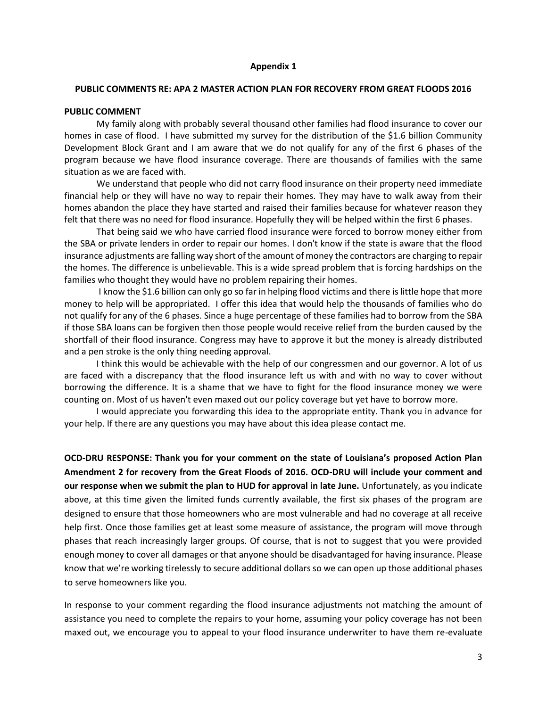### **Appendix 1**

#### **PUBLIC COMMENTS RE: APA 2 MASTER ACTION PLAN FOR RECOVERY FROM GREAT FLOODS 2016**

### **PUBLIC COMMENT**

My family along with probably several thousand other families had flood insurance to cover our homes in case of flood. I have submitted my survey for the distribution of the \$1.6 billion Community Development Block Grant and I am aware that we do not qualify for any of the first 6 phases of the program because we have flood insurance coverage. There are thousands of families with the same situation as we are faced with.

We understand that people who did not carry flood insurance on their property need immediate financial help or they will have no way to repair their homes. They may have to walk away from their homes abandon the place they have started and raised their families because for whatever reason they felt that there was no need for flood insurance. Hopefully they will be helped within the first 6 phases.

 That being said we who have carried flood insurance were forced to borrow money either from the SBA or private lenders in order to repair our homes. I don't know if the state is aware that the flood insurance adjustments are falling way short of the amount of money the contractors are charging to repair the homes. The difference is unbelievable. This is a wide spread problem that is forcing hardships on the families who thought they would have no problem repairing their homes.

 I know the \$1.6 billion can only go so far in helping flood victims and there is little hope that more money to help will be appropriated. I offer this idea that would help the thousands of families who do not qualify for any of the 6 phases. Since a huge percentage of these families had to borrow from the SBA if those SBA loans can be forgiven then those people would receive relief from the burden caused by the shortfall of their flood insurance. Congress may have to approve it but the money is already distributed and a pen stroke is the only thing needing approval.

 I think this would be achievable with the help of our congressmen and our governor. A lot of us are faced with a discrepancy that the flood insurance left us with and with no way to cover without borrowing the difference. It is a shame that we have to fight for the flood insurance money we were counting on. Most of us haven't even maxed out our policy coverage but yet have to borrow more.

 I would appreciate you forwarding this idea to the appropriate entity. Thank you in advance for your help. If there are any questions you may have about this idea please contact me.

**OCD-DRU RESPONSE: Thank you for your comment on the state of Louisiana's proposed Action Plan Amendment 2 for recovery from the Great Floods of 2016. OCD-DRU will include your comment and our response when we submit the plan to HUD for approval in late June.** Unfortunately, as you indicate above, at this time given the limited funds currently available, the first six phases of the program are designed to ensure that those homeowners who are most vulnerable and had no coverage at all receive help first. Once those families get at least some measure of assistance, the program will move through phases that reach increasingly larger groups. Of course, that is not to suggest that you were provided enough money to cover all damages or that anyone should be disadvantaged for having insurance. Please know that we're working tirelessly to secure additional dollars so we can open up those additional phases to serve homeowners like you.

In response to your comment regarding the flood insurance adjustments not matching the amount of assistance you need to complete the repairs to your home, assuming your policy coverage has not been maxed out, we encourage you to appeal to your flood insurance underwriter to have them re-evaluate